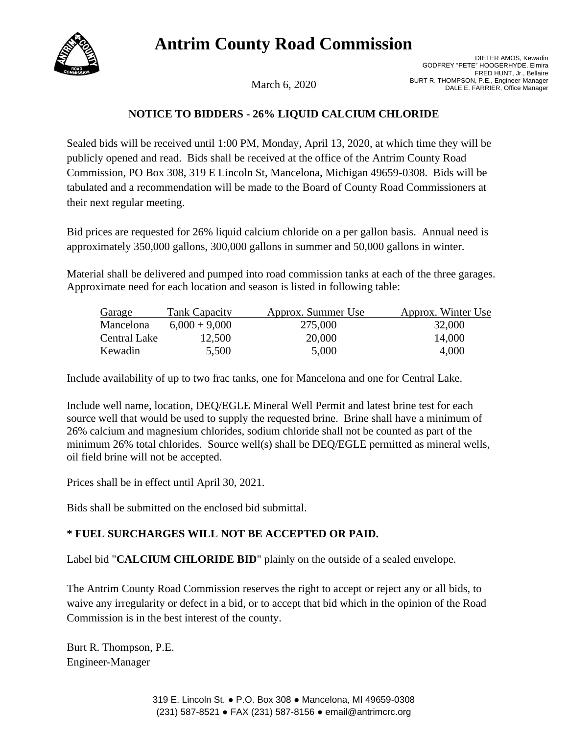# **Antrim County Road Commission**



DIETER AMOS, Kewadin GODFREY "PETE" HOOGERHYDE, Elmira FRED HUNT, Jr., Bellaire BURT R. THOMPSON, P.E., Engineer-Manager<br>DALE E. FARRIER, Office Manager

## **NOTICE TO BIDDERS - 26% LIQUID CALCIUM CHLORIDE**

Sealed bids will be received until 1:00 PM, Monday, April 13, 2020, at which time they will be publicly opened and read. Bids shall be received at the office of the Antrim County Road Commission, PO Box 308, 319 E Lincoln St, Mancelona, Michigan 49659-0308. Bids will be tabulated and a recommendation will be made to the Board of County Road Commissioners at their next regular meeting.

Bid prices are requested for 26% liquid calcium chloride on a per gallon basis. Annual need is approximately 350,000 gallons, 300,000 gallons in summer and 50,000 gallons in winter.

Material shall be delivered and pumped into road commission tanks at each of the three garages. Approximate need for each location and season is listed in following table:

| Garage       | <b>Tank Capacity</b> | Approx. Summer Use | Approx. Winter Use |
|--------------|----------------------|--------------------|--------------------|
| Mancelona    | $6,000 + 9,000$      | 275,000            | 32,000             |
| Central Lake | 12,500               | 20,000             | 14,000             |
| Kewadin      | 5,500                | 5,000              | 4,000              |

Include availability of up to two frac tanks, one for Mancelona and one for Central Lake.

Include well name, location, DEQ/EGLE Mineral Well Permit and latest brine test for each source well that would be used to supply the requested brine. Brine shall have a minimum of 26% calcium and magnesium chlorides, sodium chloride shall not be counted as part of the minimum 26% total chlorides. Source well(s) shall be DEQ/EGLE permitted as mineral wells, oil field brine will not be accepted.

Prices shall be in effect until April 30, 2021.

Bids shall be submitted on the enclosed bid submittal.

## **\* FUEL SURCHARGES WILL NOT BE ACCEPTED OR PAID.**

Label bid "**CALCIUM CHLORIDE BID**" plainly on the outside of a sealed envelope.

The Antrim County Road Commission reserves the right to accept or reject any or all bids, to waive any irregularity or defect in a bid, or to accept that bid which in the opinion of the Road Commission is in the best interest of the county.

Burt R. Thompson, P.E. Engineer-Manager